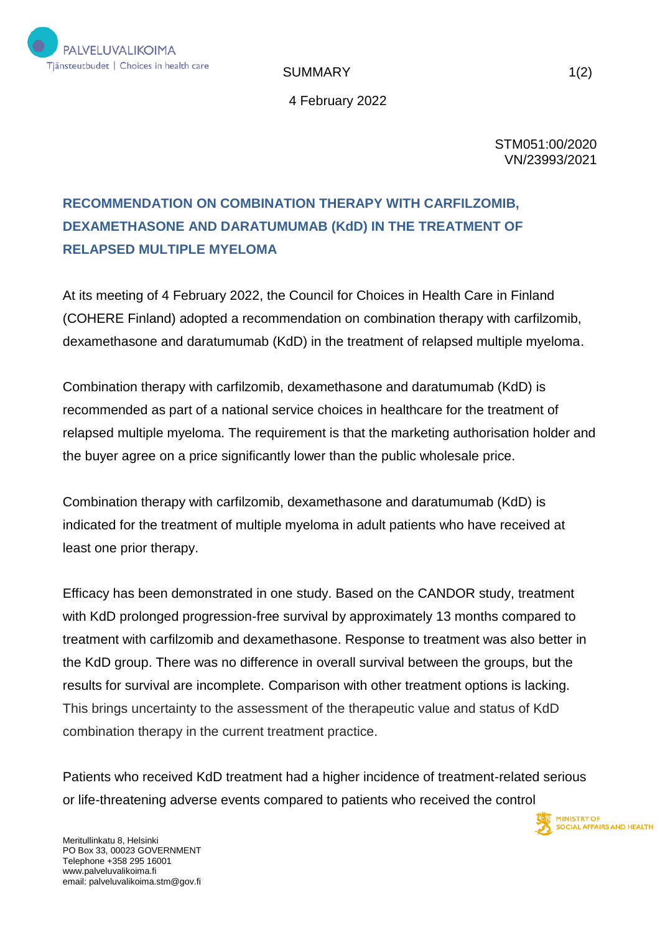

SUMMARY 1(2)

4 February 2022

STM051:00/2020 VN/23993/2021

## **RECOMMENDATION ON COMBINATION THERAPY WITH CARFILZOMIB, DEXAMETHASONE AND DARATUMUMAB (KdD) IN THE TREATMENT OF RELAPSED MULTIPLE MYELOMA**

At its meeting of 4 February 2022, the Council for Choices in Health Care in Finland (COHERE Finland) adopted a recommendation on combination therapy with carfilzomib, dexamethasone and daratumumab (KdD) in the treatment of relapsed multiple myeloma.

Combination therapy with carfilzomib, dexamethasone and daratumumab (KdD) is recommended as part of a national service choices in healthcare for the treatment of relapsed multiple myeloma. The requirement is that the marketing authorisation holder and the buyer agree on a price significantly lower than the public wholesale price.

Combination therapy with carfilzomib, dexamethasone and daratumumab (KdD) is indicated for the treatment of multiple myeloma in adult patients who have received at least one prior therapy.

Efficacy has been demonstrated in one study. Based on the CANDOR study, treatment with KdD prolonged progression-free survival by approximately 13 months compared to treatment with carfilzomib and dexamethasone. Response to treatment was also better in the KdD group. There was no difference in overall survival between the groups, but the results for survival are incomplete. Comparison with other treatment options is lacking. This brings uncertainty to the assessment of the therapeutic value and status of KdD combination therapy in the current treatment practice.

Patients who received KdD treatment had a higher incidence of treatment-related serious or life-threatening adverse events compared to patients who received the control